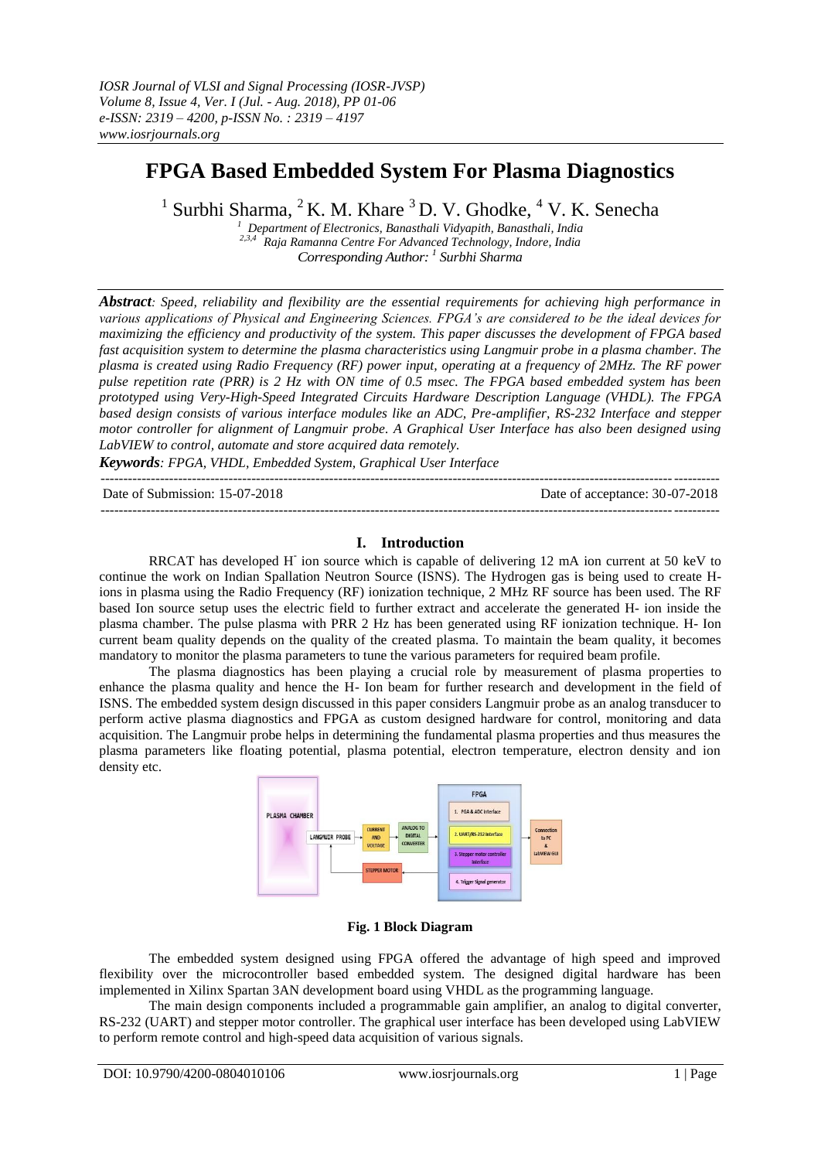# **FPGA Based Embedded System For Plasma Diagnostics**

 $1$  Surbhi Sharma,  $2$  K. M. Khare  $3$  D. V. Ghodke,  $4$  V. K. Senecha

*1* Department of Electronics, Banasthali Vidyapith, Banasthali, India<br>
<sup>2,3,4</sup> Paia Panasthali Computer Computer *C 2,3,4 Raja Ramanna Centre For Advanced Technology, Indore, India Corresponding Author: <sup>1</sup> Surbhi Sharma*

*Abstract: Speed, reliability and flexibility are the essential requirements for achieving high performance in various applications of Physical and Engineering Sciences. FPGA's are considered to be the ideal devices for maximizing the efficiency and productivity of the system. This paper discusses the development of FPGA based fast acquisition system to determine the plasma characteristics using Langmuir probe in a plasma chamber. The plasma is created using Radio Frequency (RF) power input, operating at a frequency of 2MHz. The RF power pulse repetition rate (PRR) is 2 Hz with ON time of 0.5 msec. The FPGA based embedded system has been prototyped using Very-High-Speed Integrated Circuits Hardware Description Language (VHDL). The FPGA based design consists of various interface modules like an ADC, Pre-amplifier, RS-232 Interface and stepper motor controller for alignment of Langmuir probe. A Graphical User Interface has also been designed using LabVIEW to control, automate and store acquired data remotely.*

*Keywords: FPGA, VHDL, Embedded System, Graphical User Interface*  $-1\leq i\leq n-1$ 

Date of Submission: 15-07-2018 Date of acceptance: 30-07-2018

### **I. Introduction**

---------------------------------------------------------------------------------------------------------------------------------------

RRCAT has developed H**-**ion source which is capable of delivering 12 mA ion current at 50 keV to continue the work on Indian Spallation Neutron Source (ISNS). The Hydrogen gas is being used to create Hions in plasma using the Radio Frequency (RF) ionization technique, 2 MHz RF source has been used. The RF based Ion source setup uses the electric field to further extract and accelerate the generated H- ion inside the plasma chamber. The pulse plasma with PRR 2 Hz has been generated using RF ionization technique. H- Ion current beam quality depends on the quality of the created plasma. To maintain the beam quality, it becomes mandatory to monitor the plasma parameters to tune the various parameters for required beam profile.

The plasma diagnostics has been playing a crucial role by measurement of plasma properties to enhance the plasma quality and hence the H- Ion beam for further research and development in the field of ISNS. The embedded system design discussed in this paper considers Langmuir probe as an analog transducer to perform active plasma diagnostics and FPGA as custom designed hardware for control, monitoring and data acquisition. The Langmuir probe helps in determining the fundamental plasma properties and thus measures the plasma parameters like floating potential, plasma potential, electron temperature, electron density and ion density etc.



#### **Fig. 1 Block Diagram**

The embedded system designed using FPGA offered the advantage of high speed and improved flexibility over the microcontroller based embedded system. The designed digital hardware has been implemented in Xilinx Spartan 3AN development board using VHDL as the programming language.

The main design components included a programmable gain amplifier, an analog to digital converter, RS-232 (UART) and stepper motor controller. The graphical user interface has been developed using LabVIEW to perform remote control and high-speed data acquisition of various signals.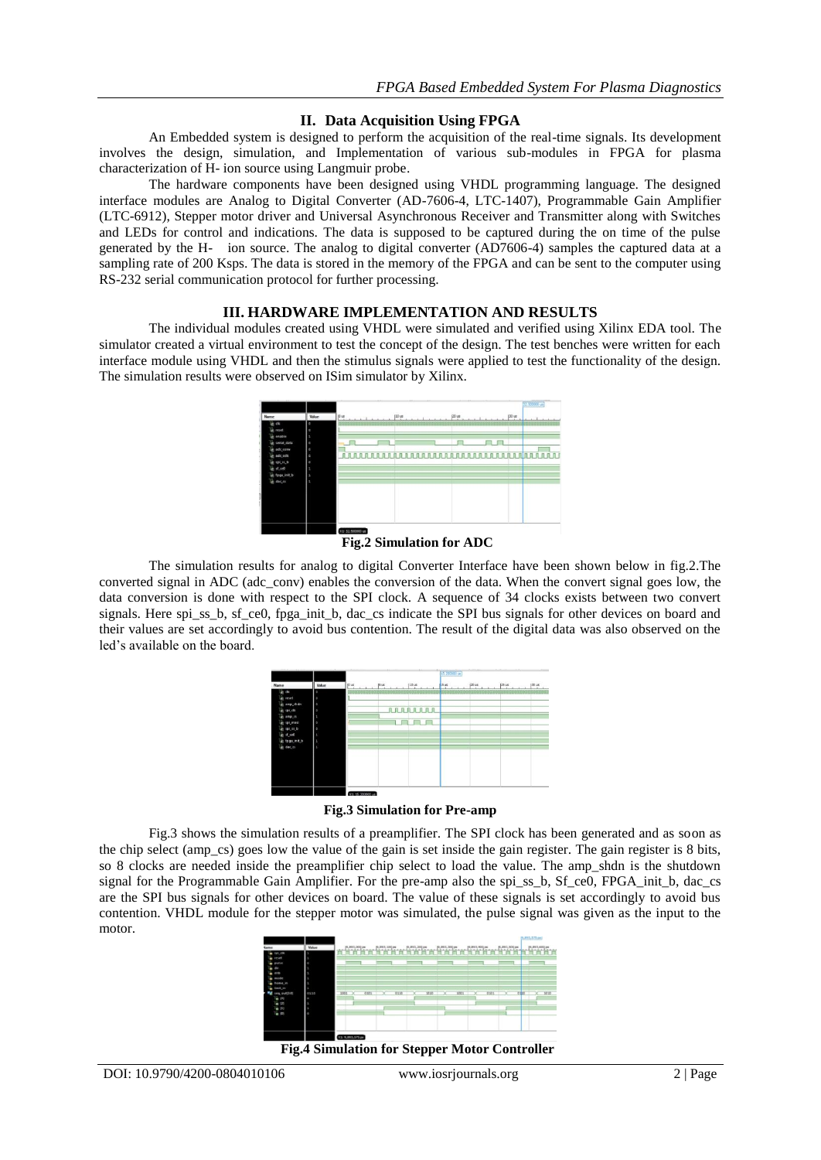### **II. Data Acquisition Using FPGA**

An Embedded system is designed to perform the acquisition of the real-time signals. Its development involves the design, simulation, and Implementation of various sub-modules in FPGA for plasma characterization of H- ion source using Langmuir probe.

The hardware components have been designed using VHDL programming language. The designed interface modules are Analog to Digital Converter (AD-7606-4, LTC-1407), Programmable Gain Amplifier (LTC-6912), Stepper motor driver and Universal Asynchronous Receiver and Transmitter along with Switches and LEDs for control and indications. The data is supposed to be captured during the on time of the pulse generated by the H- ion source. The analog to digital converter (AD7606-4) samples the captured data at a sampling rate of 200 Ksps. The data is stored in the memory of the FPGA and can be sent to the computer using RS-232 serial communication protocol for further processing.

### **III. HARDWARE IMPLEMENTATION AND RESULTS**

The individual modules created using VHDL were simulated and verified using Xilinx EDA tool. The simulator created a virtual environment to test the concept of the design. The test benches were written for each interface module using VHDL and then the stimulus signals were applied to test the functionality of the design. The simulation results were observed on ISim simulator by Xilinx.



### **Fig.2 Simulation for ADC**

The simulation results for analog to digital Converter Interface have been shown below in fig.2.The converted signal in ADC (adc\_conv) enables the conversion of the data. When the convert signal goes low, the data conversion is done with respect to the SPI clock. A sequence of 34 clocks exists between two convert signals. Here spi\_ss\_b, sf\_ce0, fpga\_init\_b, dac\_cs indicate the SPI bus signals for other devices on board and their values are set accordingly to avoid bus contention. The result of the digital data was also observed on the led's available on the board.

|                        | Value   | .                |                |                | _____<br>--<br>15.200000 ue |      |       |        |
|------------------------|---------|------------------|----------------|----------------|-----------------------------|------|-------|--------|
| Name                   |         | jū us            | $5 \text{ ms}$ | $\mu$ is       | $15 \text{ us}$             | pous | ps us | j30 us |
| lig clk                | $\circ$ |                  |                |                |                             |      |       |        |
| lijk reset             | $\circ$ |                  |                |                |                             |      |       |        |
| e amp_shdn             | $\circ$ |                  |                |                |                             |      |       |        |
| le spi dk              | $\circ$ |                  |                | <b>AAAAAAA</b> |                             |      |       |        |
| lig amp_cs             | ٠       |                  |                |                |                             |      |       |        |
| Le spi_mosi            | $\circ$ |                  | m.             |                |                             |      |       |        |
| g spi_cs_b             | $\circ$ |                  |                |                |                             |      |       |        |
| $\frac{1}{2}$ if $ce0$ | ٠       |                  |                |                |                             |      |       |        |
| tops init b            | п       |                  |                |                |                             |      |       |        |
| Le dac cs              | ×       |                  |                |                |                             |      |       |        |
|                        |         |                  |                |                |                             |      |       |        |
|                        |         |                  |                |                |                             |      |       |        |
|                        |         |                  |                |                |                             |      |       |        |
|                        |         |                  |                |                |                             |      |       |        |
|                        |         |                  |                |                |                             |      |       |        |
|                        |         |                  |                |                |                             |      |       |        |
|                        |         |                  |                |                |                             |      |       |        |
|                        |         | X1: 15.200000 us |                |                |                             |      |       |        |

**Fig.3 Simulation for Pre-amp**

Fig.3 shows the simulation results of a preamplifier. The SPI clock has been generated and as soon as the chip select (amp\_cs) goes low the value of the gain is set inside the gain register. The gain register is 8 bits, so 8 clocks are needed inside the preamplifier chip select to load the value. The amp\_shdn is the shutdown signal for the Programmable Gain Amplifier. For the pre-amp also the spi\_ss\_b, Sf\_ce0, FPGA\_init\_b, dac\_cs are the SPI bus signals for other devices on board. The value of these signals is set accordingly to avoid bus contention. VHDL module for the stepper motor was simulated, the pulse signal was given as the input to the motor.



**Fig.4 Simulation for Stepper Motor Controller**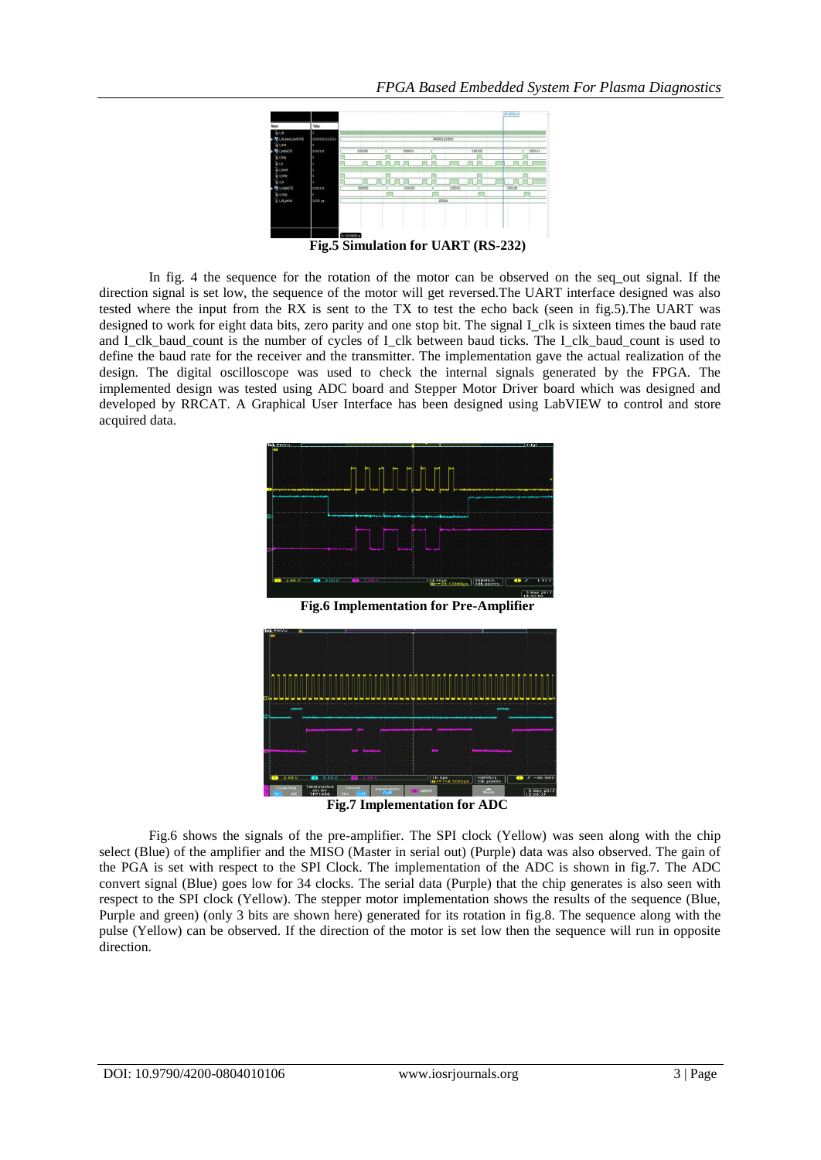

**Fig.5 Simulation for UART (RS-232)**

In fig. 4 the sequence for the rotation of the motor can be observed on the seq\_out signal. If the direction signal is set low, the sequence of the motor will get reversed.The UART interface designed was also tested where the input from the RX is sent to the TX to test the echo back (seen in fig.5).The UART was designed to work for eight data bits, zero parity and one stop bit. The signal I clk is sixteen times the baud rate and I clk baud count is the number of cycles of I clk between baud ticks. The I clk baud count is used to define the baud rate for the receiver and the transmitter. The implementation gave the actual realization of the design. The digital oscilloscope was used to check the internal signals generated by the FPGA. The implemented design was tested using ADC board and Stepper Motor Driver board which was designed and developed by RRCAT. A Graphical User Interface has been designed using LabVIEW to control and store acquired data.



**Fig.6 Implementation for Pre-Amplifier**



**Fig.7 Implementation for ADC**

Fig.6 shows the signals of the pre-amplifier. The SPI clock (Yellow) was seen along with the chip select (Blue) of the amplifier and the MISO (Master in serial out) (Purple) data was also observed. The gain of the PGA is set with respect to the SPI Clock. The implementation of the ADC is shown in fig.7. The ADC convert signal (Blue) goes low for 34 clocks. The serial data (Purple) that the chip generates is also seen with respect to the SPI clock (Yellow). The stepper motor implementation shows the results of the sequence (Blue, Purple and green) (only 3 bits are shown here) generated for its rotation in fig.8. The sequence along with the pulse (Yellow) can be observed. If the direction of the motor is set low then the sequence will run in opposite direction.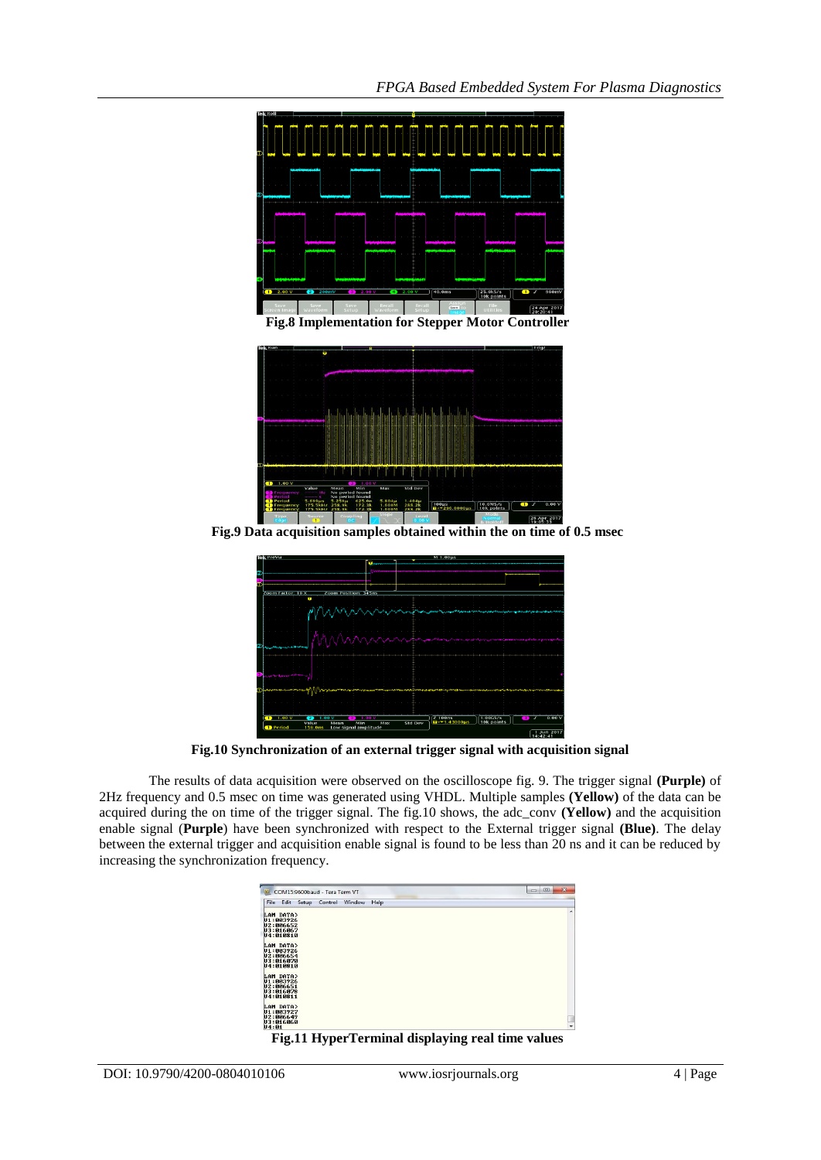

**Fig.8 Implementation for Stepper Motor Controller**



**Fig.9 Data acquisition samples obtained within the on time of 0.5 msec**



**Fig.10 Synchronization of an external trigger signal with acquisition signal**

The results of data acquisition were observed on the oscilloscope fig. 9. The trigger signal **(Purple)** of 2Hz frequency and 0.5 msec on time was generated using VHDL. Multiple samples **(Yellow)** of the data can be acquired during the on time of the trigger signal. The fig.10 shows, the adc\_conv **(Yellow)** and the acquisition enable signal (**Purple**) have been synchronized with respect to the External trigger signal **(Blue)**. The delay between the external trigger and acquisition enable signal is found to be less than 20 ns and it can be reduced by increasing the synchronization frequency.

| COM15:9600baud - Tera Term VT<br>M.                           | $\mathbf{x}$<br>$\Box$ e |
|---------------------------------------------------------------|--------------------------|
| File Edit Setup<br>Control<br>Help<br>Window                  |                          |
| LAM DATA><br>U1:003926<br>U2:006652<br>U3:016067              | ۸                        |
| U4:010810                                                     |                          |
| LAM DATA><br>U1:003926<br>U2:006654<br>U3:016070<br>U4:010810 |                          |
| LAM DATA><br>U1:003926<br>U2:006651<br>U3:016078<br>U4:010811 |                          |
| LAM DATA><br>U1:003927<br>U2:006649<br>U3:016060<br>U4:01     | $\overline{\phantom{a}}$ |

**Fig.11 HyperTerminal displaying real time values**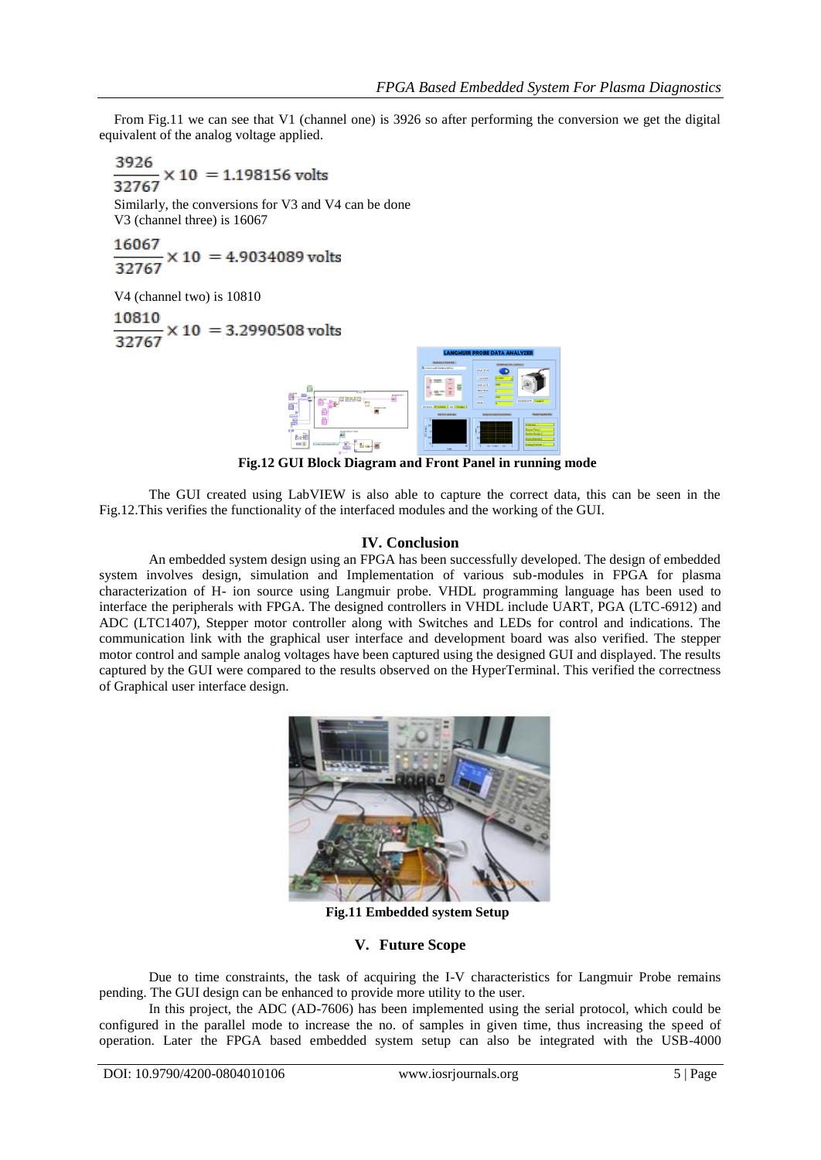From Fig.11 we can see that V1 (channel one) is 3926 so after performing the conversion we get the digital equivalent of the analog voltage applied.

 $\frac{3926}{32767} \times 10 = 1.198156 \text{ volts}$ Similarly, the conversions for V3 and V4 can be done V3 (channel three) is 16067 16067

$$
\frac{2000}{32767} \times 10 = 4.9034089 \text{ volts}
$$

V4 (channel two) is 10810  $\frac{10810}{32767} \times 10 = 3.2990508 \text{ volts}$ 



**Fig.12 GUI Block Diagram and Front Panel in running mode**

The GUI created using LabVIEW is also able to capture the correct data, this can be seen in the Fig.12.This verifies the functionality of the interfaced modules and the working of the GUI.

## **IV. Conclusion**

An embedded system design using an FPGA has been successfully developed. The design of embedded system involves design, simulation and Implementation of various sub-modules in FPGA for plasma characterization of H- ion source using Langmuir probe. VHDL programming language has been used to interface the peripherals with FPGA. The designed controllers in VHDL include UART, PGA (LTC-6912) and ADC (LTC1407), Stepper motor controller along with Switches and LEDs for control and indications. The communication link with the graphical user interface and development board was also verified. The stepper motor control and sample analog voltages have been captured using the designed GUI and displayed. The results captured by the GUI were compared to the results observed on the HyperTerminal. This verified the correctness of Graphical user interface design.



**Fig.11 Embedded system Setup**

### **V. Future Scope**

Due to time constraints, the task of acquiring the I-V characteristics for Langmuir Probe remains pending. The GUI design can be enhanced to provide more utility to the user.

In this project, the ADC (AD-7606) has been implemented using the serial protocol, which could be configured in the parallel mode to increase the no. of samples in given time, thus increasing the speed of operation. Later the FPGA based embedded system setup can also be integrated with the USB-4000